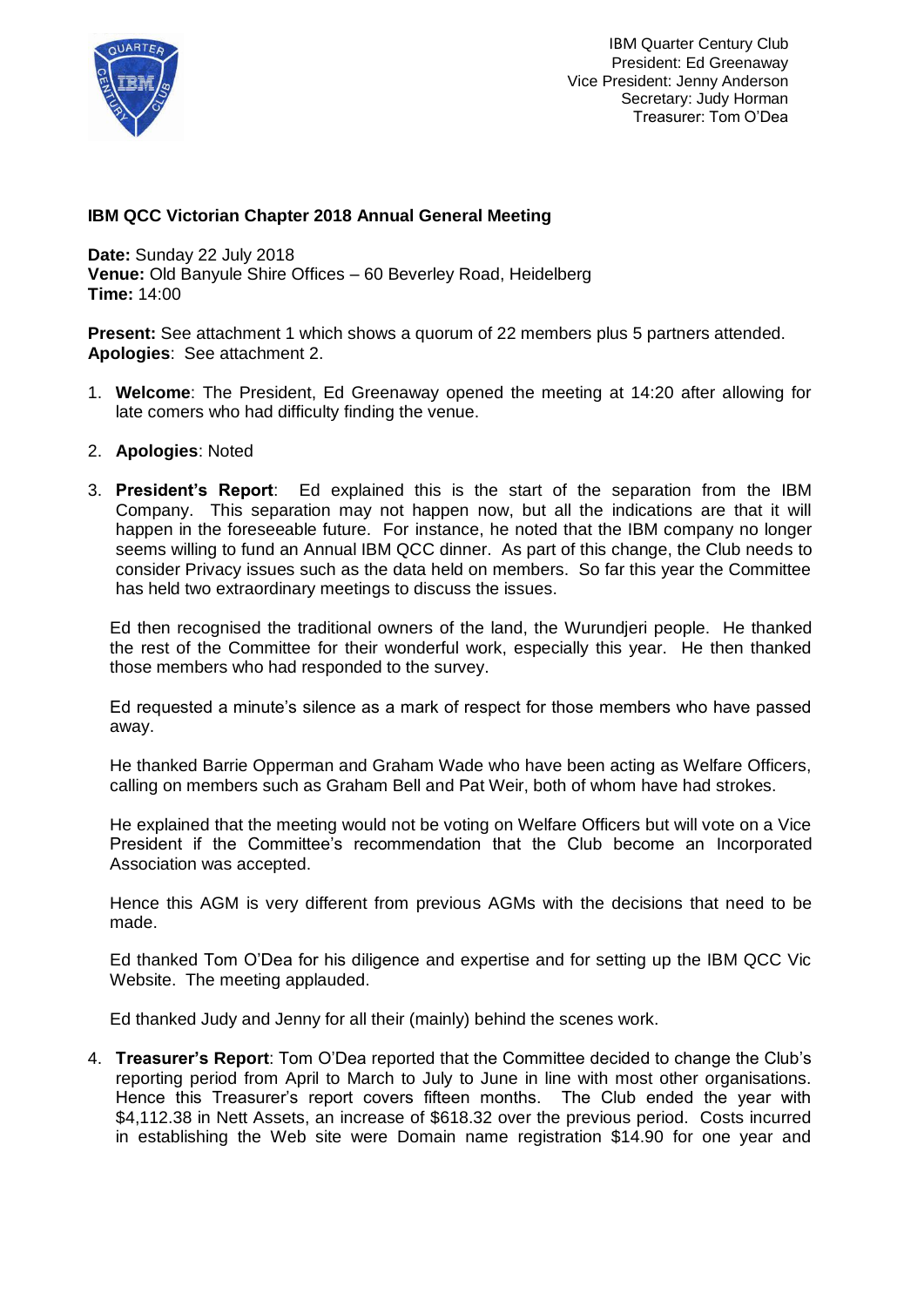

## **IBM QCC Victorian Chapter 2018 Annual General Meeting**

**Date:** Sunday 22 July 2018 **Venue:** Old Banyule Shire Offices – 60 Beverley Road, Heidelberg **Time:** 14:00

**Present:** See attachment 1 which shows a quorum of 22 members plus 5 partners attended. **Apologies**: See attachment 2.

- 1. **Welcome**: The President, Ed Greenaway opened the meeting at 14:20 after allowing for late comers who had difficulty finding the venue.
- 2. **Apologies**: Noted
- 3. **President's Report**: Ed explained this is the start of the separation from the IBM Company. This separation may not happen now, but all the indications are that it will happen in the foreseeable future. For instance, he noted that the IBM company no longer seems willing to fund an Annual IBM QCC dinner. As part of this change, the Club needs to consider Privacy issues such as the data held on members. So far this year the Committee has held two extraordinary meetings to discuss the issues.

Ed then recognised the traditional owners of the land, the Wurundjeri people. He thanked the rest of the Committee for their wonderful work, especially this year. He then thanked those members who had responded to the survey.

Ed requested a minute's silence as a mark of respect for those members who have passed away.

He thanked Barrie Opperman and Graham Wade who have been acting as Welfare Officers, calling on members such as Graham Bell and Pat Weir, both of whom have had strokes.

He explained that the meeting would not be voting on Welfare Officers but will vote on a Vice President if the Committee's recommendation that the Club become an Incorporated Association was accepted.

Hence this AGM is very different from previous AGMs with the decisions that need to be made.

Ed thanked Tom O'Dea for his diligence and expertise and for setting up the IBM QCC Vic Website. The meeting applauded.

Ed thanked Judy and Jenny for all their (mainly) behind the scenes work.

4. **Treasurer's Report**: Tom O'Dea reported that the Committee decided to change the Club's reporting period from April to March to July to June in line with most other organisations. Hence this Treasurer's report covers fifteen months. The Club ended the year with \$4,112.38 in Nett Assets, an increase of \$618.32 over the previous period. Costs incurred in establishing the Web site were Domain name registration \$14.90 for one year and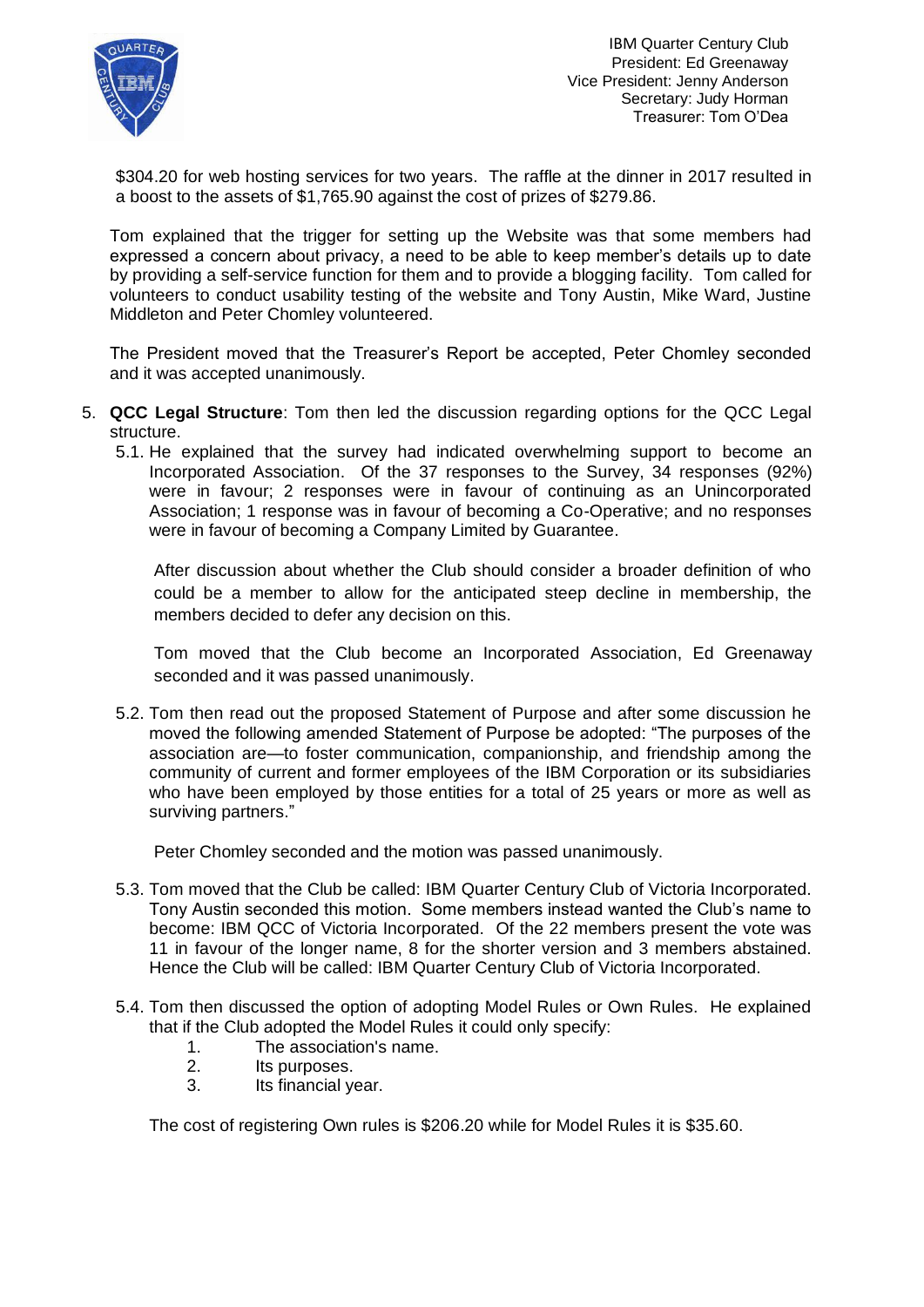

\$304.20 for web hosting services for two years. The raffle at the dinner in 2017 resulted in a boost to the assets of \$1,765.90 against the cost of prizes of \$279.86.

Tom explained that the trigger for setting up the Website was that some members had expressed a concern about privacy, a need to be able to keep member's details up to date by providing a self-service function for them and to provide a blogging facility. Tom called for volunteers to conduct usability testing of the website and Tony Austin, Mike Ward, Justine Middleton and Peter Chomley volunteered.

The President moved that the Treasurer's Report be accepted, Peter Chomley seconded and it was accepted unanimously.

- 5. **QCC Legal Structure**: Tom then led the discussion regarding options for the QCC Legal structure.
	- 5.1. He explained that the survey had indicated overwhelming support to become an Incorporated Association. Of the 37 responses to the Survey, 34 responses (92%) were in favour; 2 responses were in favour of continuing as an Unincorporated Association; 1 response was in favour of becoming a Co-Operative; and no responses were in favour of becoming a Company Limited by Guarantee.

After discussion about whether the Club should consider a broader definition of who could be a member to allow for the anticipated steep decline in membership, the members decided to defer any decision on this.

Tom moved that the Club become an Incorporated Association, Ed Greenaway seconded and it was passed unanimously.

5.2. Tom then read out the proposed Statement of Purpose and after some discussion he moved the following amended Statement of Purpose be adopted: "The purposes of the association are—to foster communication, companionship, and friendship among the community of current and former employees of the IBM Corporation or its subsidiaries who have been employed by those entities for a total of 25 years or more as well as surviving partners."

Peter Chomley seconded and the motion was passed unanimously.

- 5.3. Tom moved that the Club be called: IBM Quarter Century Club of Victoria Incorporated. Tony Austin seconded this motion. Some members instead wanted the Club's name to become: IBM QCC of Victoria Incorporated. Of the 22 members present the vote was 11 in favour of the longer name, 8 for the shorter version and 3 members abstained. Hence the Club will be called: IBM Quarter Century Club of Victoria Incorporated.
- 5.4. Tom then discussed the option of adopting Model Rules or Own Rules. He explained that if the Club adopted the Model Rules it could only specify:
	- 1. The association's name.
	- 2. Its purposes.
	- 3. Its financial year.

The cost of registering Own rules is \$206.20 while for Model Rules it is \$35.60.